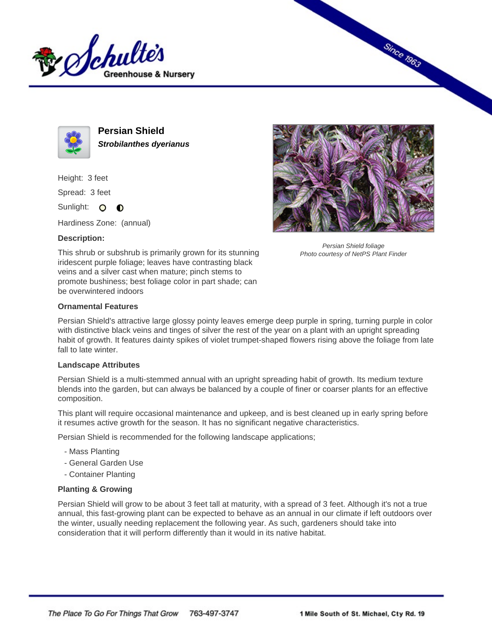



**Persian Shield Strobilanthes dyerianus**

Height: 3 feet

Spread: 3 feet

Sunlight: O **O** 

Hardiness Zone: (annual)

## **Description:**



Since 1963

Persian Shield foliage Photo courtesy of NetPS Plant Finder

This shrub or subshrub is primarily grown for its stunning iridescent purple foliage; leaves have contrasting black veins and a silver cast when mature; pinch stems to promote bushiness; best foliage color in part shade; can be overwintered indoors

## **Ornamental Features**

Persian Shield's attractive large glossy pointy leaves emerge deep purple in spring, turning purple in color with distinctive black veins and tinges of silver the rest of the year on a plant with an upright spreading habit of growth. It features dainty spikes of violet trumpet-shaped flowers rising above the foliage from late fall to late winter.

## **Landscape Attributes**

Persian Shield is a multi-stemmed annual with an upright spreading habit of growth. Its medium texture blends into the garden, but can always be balanced by a couple of finer or coarser plants for an effective composition.

This plant will require occasional maintenance and upkeep, and is best cleaned up in early spring before it resumes active growth for the season. It has no significant negative characteristics.

Persian Shield is recommended for the following landscape applications;

- Mass Planting
- General Garden Use
- Container Planting

## **Planting & Growing**

Persian Shield will grow to be about 3 feet tall at maturity, with a spread of 3 feet. Although it's not a true annual, this fast-growing plant can be expected to behave as an annual in our climate if left outdoors over the winter, usually needing replacement the following year. As such, gardeners should take into consideration that it will perform differently than it would in its native habitat.